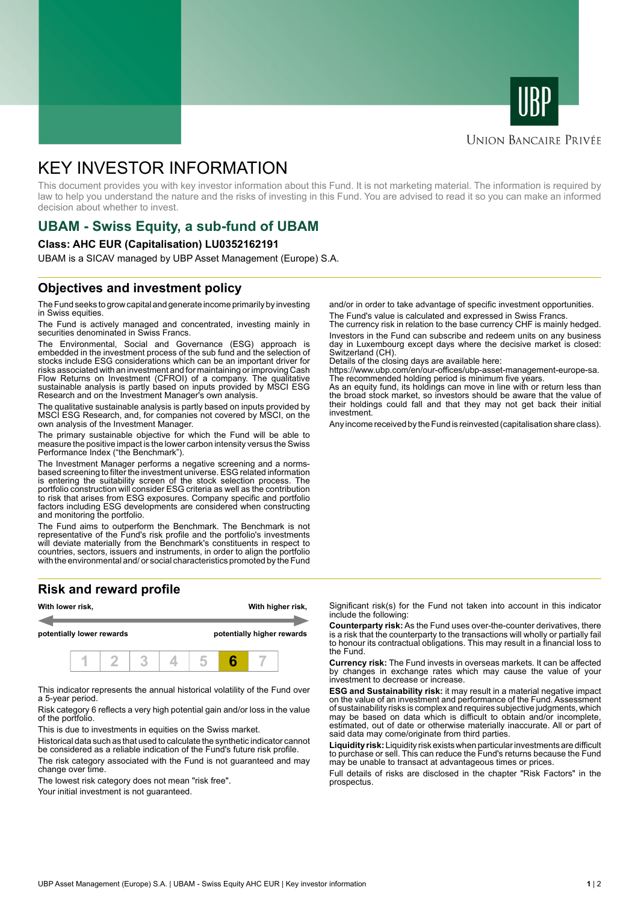



#### **UNION BANCAIRE PRIVÉE**

# KEY INVESTOR INFORMATION

This document provides you with key investor information about this Fund. It is not marketing material. The information is required by law to help you understand the nature and the risks of investing in this Fund. You are advised to read it so you can make an informed decision about whether to invest.

# **UBAM - Swiss Equity, a sub-fund of UBAM**

#### **Class: AHC EUR (Capitalisation) LU0352162191**

UBAM is a SICAV managed by UBP Asset Management (Europe) S.A.

## **Objectives and investment policy**

The Fund seeks to grow capital and generate income primarily by investing in Swiss equities.

The Fund is actively managed and concentrated, investing mainly in securities denominated in Swiss Francs.

The Environmental, Social and Governance (ESG) approach is embedded in the investment process of the sub fund and the selection of stocks include ESG considerations which can be an important driver for risks associated with an investment and for maintaining or improving Cash Flow Returns on Investment (CFROI) of a company. The qualitative sustainable analysis is partly based on inputs provided by MSCI ESG Research and on the Investment Manager's own analysis.

The qualitative sustainable analysis is partly based on inputs provided by MSCI ESG Research, and, for companies not covered by MSCI, on the own analysis of the Investment Manager.

The primary sustainable objective for which the Fund will be able to measure the positive impact is the lower carbon intensity versus the Swiss Performance Index ("the Benchmark").

The Investment Manager performs a negative screening and a normsbased screening to filter the investment universe. ESG related information is entering the suitability screen of the stock selection process. The portfolio construction will consider ESG criteria as well as the contribution to risk that arises from ESG exposures. Company specific and portfolio factors including ESG developments are considered when constructing and monitoring the portfolio.

The Fund aims to outperform the Benchmark. The Benchmark is not representative of the Fund's risk profile and the portfolio's investments will deviate materially from the Benchmark's constituents in respect to countries, sectors, issuers and instruments, in order to align the portfolio with the environmental and/ or social characteristics promoted by the Fund

## **Risk and reward profile**



This indicator represents the annual historical volatility of the Fund over a 5-year period.

Risk category 6 reflects a very high potential gain and/or loss in the value of the portfolio.

This is due to investments in equities on the Swiss market.

Historical data such as that used to calculate the synthetic indicator cannot be considered as a reliable indication of the Fund's future risk profile. The risk category associated with the Fund is not guaranteed and may change over time.

The lowest risk category does not mean "risk free".

Your initial investment is not guaranteed.

and/or in order to take advantage of specific investment opportunities. The Fund's value is calculated and expressed in Swiss Francs.

The currency risk in relation to the base currency CHF is mainly hedged. Investors in the Fund can subscribe and redeem units on any business day in Luxembourg except days where the decisive market is closed: Switzerland (CH).

Details of the closing days are available here:

https://www.ubp.com/en/our-offices/ubp-asset-management-europe-sa. The recommended holding period is minimum five years.

As an equity fund, its holdings can move in line with or return less than the broad stock market, so investors should be aware that the value of their holdings could fall and that they may not get back their initial investment.

Any income received by the Fund is reinvested (capitalisation share class).

Significant risk(s) for the Fund not taken into account in this indicator include the following:

**Counterparty risk:** As the Fund uses over-the-counter derivatives, there is a risk that the counterparty to the transactions will wholly or partially fail to honour its contractual obligations. This may result in a financial loss to the Fund.

**Currency risk:** The Fund invests in overseas markets. It can be affected by changes in exchange rates which may cause the value of your investment to decrease or increase.

**ESG and Sustainability risk:** it may result in a material negative impact on the value of an investment and performance of the Fund. Assessment of sustainability risks is complex and requires subjective judgments, which may be based on data which is difficult to obtain and/or incomplete, estimated, out of date or otherwise materially inaccurate. All or part of said data may come/originate from third parties.

**Liquidity risk:** Liquidity risk exists when particular investments are difficult to purchase or sell. This can reduce the Fund's returns because the Fund may be unable to transact at advantageous times or prices.

Full details of risks are disclosed in the chapter "Risk Factors" in the prospectus.